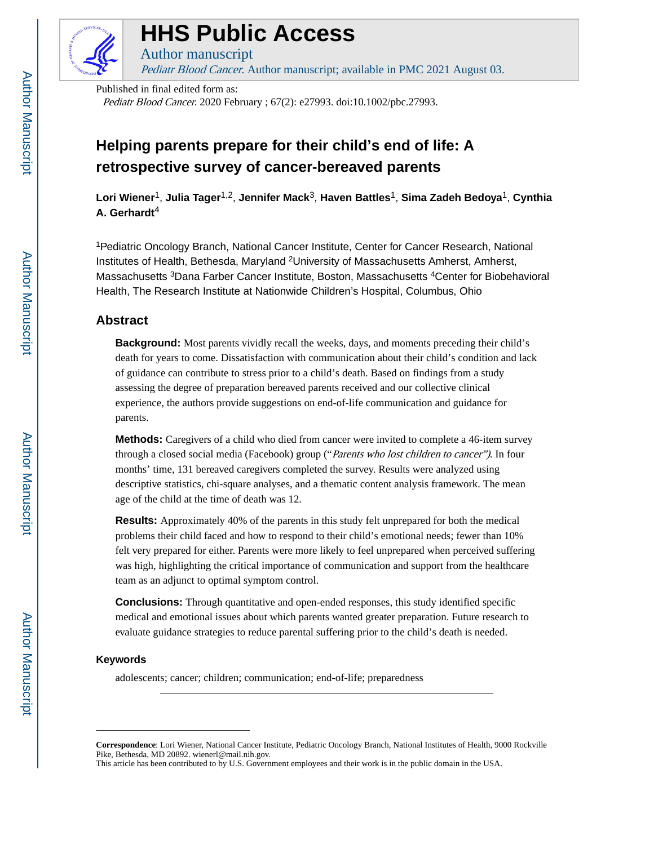

# **HHS Public Access**

Pediatr Blood Cancer. Author manuscript; available in PMC 2021 August 03.

Published in final edited form as:

Author manuscript

Pediatr Blood Cancer. 2020 February ; 67(2): e27993. doi:10.1002/pbc.27993.

## **Helping parents prepare for their child's end of life: A retrospective survey of cancer-bereaved parents**

**Lori Wiener**1, **Julia Tager**1,2, **Jennifer Mack**3, **Haven Battles**1, **Sima Zadeh Bedoya**1, **Cynthia A. Gerhardt**<sup>4</sup>

<sup>1</sup>Pediatric Oncology Branch, National Cancer Institute, Center for Cancer Research, National Institutes of Health, Bethesda, Maryland <sup>2</sup>University of Massachusetts Amherst, Amherst, Massachusetts <sup>3</sup>Dana Farber Cancer Institute, Boston, Massachusetts <sup>4</sup>Center for Biobehavioral Health, The Research Institute at Nationwide Children's Hospital, Columbus, Ohio

#### **Abstract**

**Background:** Most parents vividly recall the weeks, days, and moments preceding their child's death for years to come. Dissatisfaction with communication about their child's condition and lack of guidance can contribute to stress prior to a child's death. Based on findings from a study assessing the degree of preparation bereaved parents received and our collective clinical experience, the authors provide suggestions on end-of-life communication and guidance for parents.

**Methods:** Caregivers of a child who died from cancer were invited to complete a 46-item survey through a closed social media (Facebook) group ("*Parents who lost children to cancer*"). In four months' time, 131 bereaved caregivers completed the survey. Results were analyzed using descriptive statistics, chi-square analyses, and a thematic content analysis framework. The mean age of the child at the time of death was 12.

**Results:** Approximately 40% of the parents in this study felt unprepared for both the medical problems their child faced and how to respond to their child's emotional needs; fewer than 10% felt very prepared for either. Parents were more likely to feel unprepared when perceived suffering was high, highlighting the critical importance of communication and support from the healthcare team as an adjunct to optimal symptom control.

**Conclusions:** Through quantitative and open-ended responses, this study identified specific medical and emotional issues about which parents wanted greater preparation. Future research to evaluate guidance strategies to reduce parental suffering prior to the child's death is needed.

#### **Keywords**

adolescents; cancer; children; communication; end-of-life; preparedness

**Correspondence**: Lori Wiener, National Cancer Institute, Pediatric Oncology Branch, National Institutes of Health, 9000 Rockville Pike, Bethesda, MD 20892. wienerl@mail.nih.gov.

This article has been contributed to by U.S. Government employees and their work is in the public domain in the USA.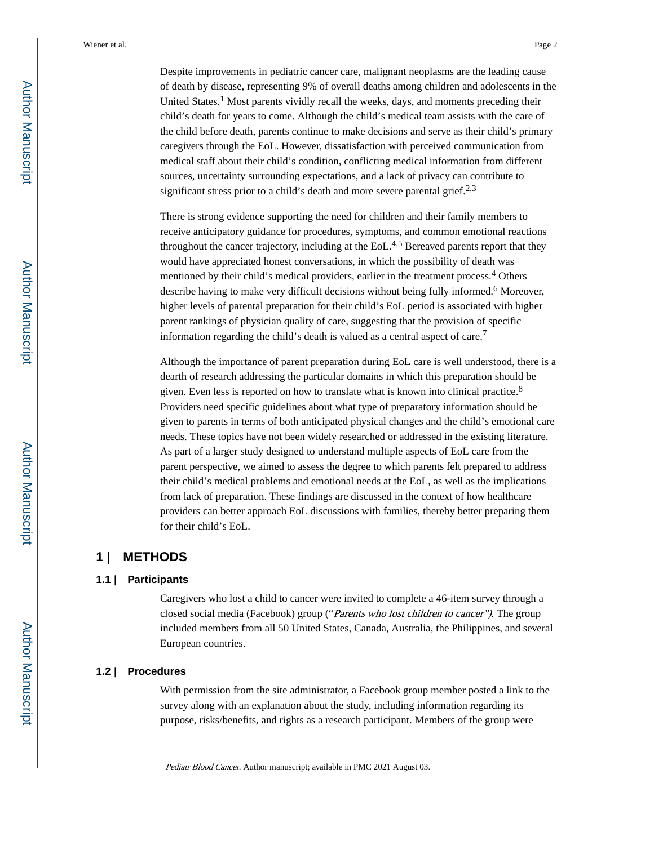Despite improvements in pediatric cancer care, malignant neoplasms are the leading cause of death by disease, representing 9% of overall deaths among children and adolescents in the United States.<sup>1</sup> Most parents vividly recall the weeks, days, and moments preceding their child's death for years to come. Although the child's medical team assists with the care of the child before death, parents continue to make decisions and serve as their child's primary caregivers through the EoL. However, dissatisfaction with perceived communication from medical staff about their child's condition, conflicting medical information from different sources, uncertainty surrounding expectations, and a lack of privacy can contribute to significant stress prior to a child's death and more severe parental grief.<sup>2,3</sup>

There is strong evidence supporting the need for children and their family members to receive anticipatory guidance for procedures, symptoms, and common emotional reactions throughout the cancer trajectory, including at the  $EoL<sup>4,5</sup>$  Bereaved parents report that they would have appreciated honest conversations, in which the possibility of death was mentioned by their child's medical providers, earlier in the treatment process.<sup>4</sup> Others describe having to make very difficult decisions without being fully informed.<sup>6</sup> Moreover, higher levels of parental preparation for their child's EoL period is associated with higher parent rankings of physician quality of care, suggesting that the provision of specific information regarding the child's death is valued as a central aspect of care.<sup>7</sup>

Although the importance of parent preparation during EoL care is well understood, there is a dearth of research addressing the particular domains in which this preparation should be given. Even less is reported on how to translate what is known into clinical practice.<sup>8</sup> Providers need specific guidelines about what type of preparatory information should be given to parents in terms of both anticipated physical changes and the child's emotional care needs. These topics have not been widely researched or addressed in the existing literature. As part of a larger study designed to understand multiple aspects of EoL care from the parent perspective, we aimed to assess the degree to which parents felt prepared to address their child's medical problems and emotional needs at the EoL, as well as the implications from lack of preparation. These findings are discussed in the context of how healthcare providers can better approach EoL discussions with families, thereby better preparing them for their child's EoL.

#### **1 | METHODS**

#### **1.1 | Participants**

Caregivers who lost a child to cancer were invited to complete a 46-item survey through a closed social media (Facebook) group ("Parents who lost children to cancer"). The group included members from all 50 United States, Canada, Australia, the Philippines, and several European countries.

#### **1.2 | Procedures**

With permission from the site administrator, a Facebook group member posted a link to the survey along with an explanation about the study, including information regarding its purpose, risks/benefits, and rights as a research participant. Members of the group were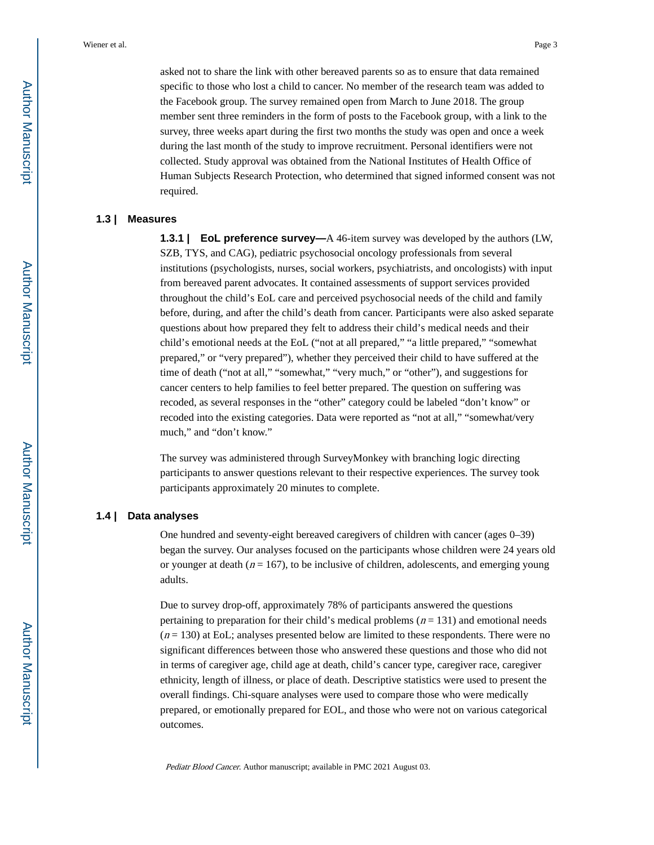asked not to share the link with other bereaved parents so as to ensure that data remained specific to those who lost a child to cancer. No member of the research team was added to the Facebook group. The survey remained open from March to June 2018. The group member sent three reminders in the form of posts to the Facebook group, with a link to the survey, three weeks apart during the first two months the study was open and once a week during the last month of the study to improve recruitment. Personal identifiers were not collected. Study approval was obtained from the National Institutes of Health Office of Human Subjects Research Protection, who determined that signed informed consent was not required.

#### **1.3 | Measures**

**1.3.1 | EoL preference survey—A** 46-item survey was developed by the authors (LW, SZB, TYS, and CAG), pediatric psychosocial oncology professionals from several institutions (psychologists, nurses, social workers, psychiatrists, and oncologists) with input from bereaved parent advocates. It contained assessments of support services provided throughout the child's EoL care and perceived psychosocial needs of the child and family before, during, and after the child's death from cancer. Participants were also asked separate questions about how prepared they felt to address their child's medical needs and their child's emotional needs at the EoL ("not at all prepared," "a little prepared," "somewhat prepared," or "very prepared"), whether they perceived their child to have suffered at the time of death ("not at all," "somewhat," "very much," or "other"), and suggestions for cancer centers to help families to feel better prepared. The question on suffering was recoded, as several responses in the "other" category could be labeled "don't know" or recoded into the existing categories. Data were reported as "not at all," "somewhat/very much," and "don't know."

The survey was administered through SurveyMonkey with branching logic directing participants to answer questions relevant to their respective experiences. The survey took participants approximately 20 minutes to complete.

#### **1.4 | Data analyses**

One hundred and seventy-eight bereaved caregivers of children with cancer (ages 0–39) began the survey. Our analyses focused on the participants whose children were 24 years old or younger at death ( $n = 167$ ), to be inclusive of children, adolescents, and emerging young adults.

Due to survey drop-off, approximately 78% of participants answered the questions pertaining to preparation for their child's medical problems ( $n = 131$ ) and emotional needs  $(n = 130)$  at EoL; analyses presented below are limited to these respondents. There were no significant differences between those who answered these questions and those who did not in terms of caregiver age, child age at death, child's cancer type, caregiver race, caregiver ethnicity, length of illness, or place of death. Descriptive statistics were used to present the overall findings. Chi-square analyses were used to compare those who were medically prepared, or emotionally prepared for EOL, and those who were not on various categorical outcomes.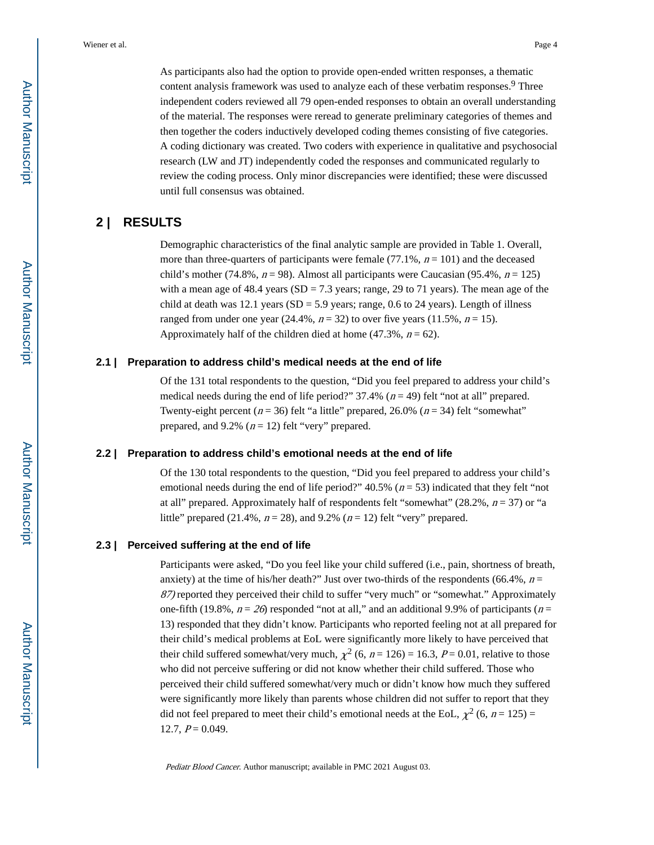As participants also had the option to provide open-ended written responses, a thematic content analysis framework was used to analyze each of these verbatim responses.<sup>9</sup> Three independent coders reviewed all 79 open-ended responses to obtain an overall understanding of the material. The responses were reread to generate preliminary categories of themes and then together the coders inductively developed coding themes consisting of five categories. A coding dictionary was created. Two coders with experience in qualitative and psychosocial research (LW and JT) independently coded the responses and communicated regularly to review the coding process. Only minor discrepancies were identified; these were discussed until full consensus was obtained.

#### **2 | RESULTS**

Demographic characteristics of the final analytic sample are provided in Table 1. Overall, more than three-quarters of participants were female (77.1%,  $n = 101$ ) and the deceased child's mother (74.8%,  $n = 98$ ). Almost all participants were Caucasian (95.4%,  $n = 125$ ) with a mean age of 48.4 years ( $SD = 7.3$  years; range, 29 to 71 years). The mean age of the child at death was 12.1 years (SD = 5.9 years; range, 0.6 to 24 years). Length of illness ranged from under one year (24.4%,  $n = 32$ ) to over five years (11.5%,  $n = 15$ ). Approximately half of the children died at home  $(47.3\%, n = 62)$ .

#### **2.1 | Preparation to address child's medical needs at the end of life**

Of the 131 total respondents to the question, "Did you feel prepared to address your child's medical needs during the end of life period?"  $37.4\%$  ( $n = 49$ ) felt "not at all" prepared. Twenty-eight percent ( $n = 36$ ) felt "a little" prepared, 26.0% ( $n = 34$ ) felt "somewhat" prepared, and 9.2%  $(n = 12)$  felt "very" prepared.

#### **2.2 | Preparation to address child's emotional needs at the end of life**

Of the 130 total respondents to the question, "Did you feel prepared to address your child's emotional needs during the end of life period?"  $40.5\%$  ( $n = 53$ ) indicated that they felt "not at all" prepared. Approximately half of respondents felt "somewhat" (28.2%,  $n = 37$ ) or "a little" prepared (21.4%,  $n = 28$ ), and 9.2% ( $n = 12$ ) felt "very" prepared.

#### **2.3 | Perceived suffering at the end of life**

Participants were asked, "Do you feel like your child suffered (i.e., pain, shortness of breath, anxiety) at the time of his/her death?" Just over two-thirds of the respondents (66.4%,  $n =$ 87) reported they perceived their child to suffer "very much" or "somewhat." Approximately one-fifth (19.8%,  $n = 26$ ) responded "not at all," and an additional 9.9% of participants ( $n =$ 13) responded that they didn't know. Participants who reported feeling not at all prepared for their child's medical problems at EoL were significantly more likely to have perceived that their child suffered somewhat/very much,  $\chi^2$  (6, n = 126) = 16.3, P = 0.01, relative to those who did not perceive suffering or did not know whether their child suffered. Those who perceived their child suffered somewhat/very much or didn't know how much they suffered were significantly more likely than parents whose children did not suffer to report that they did not feel prepared to meet their child's emotional needs at the EoL,  $\chi^2$  (6,  $n = 125$ ) = 12.7,  $P = 0.049$ .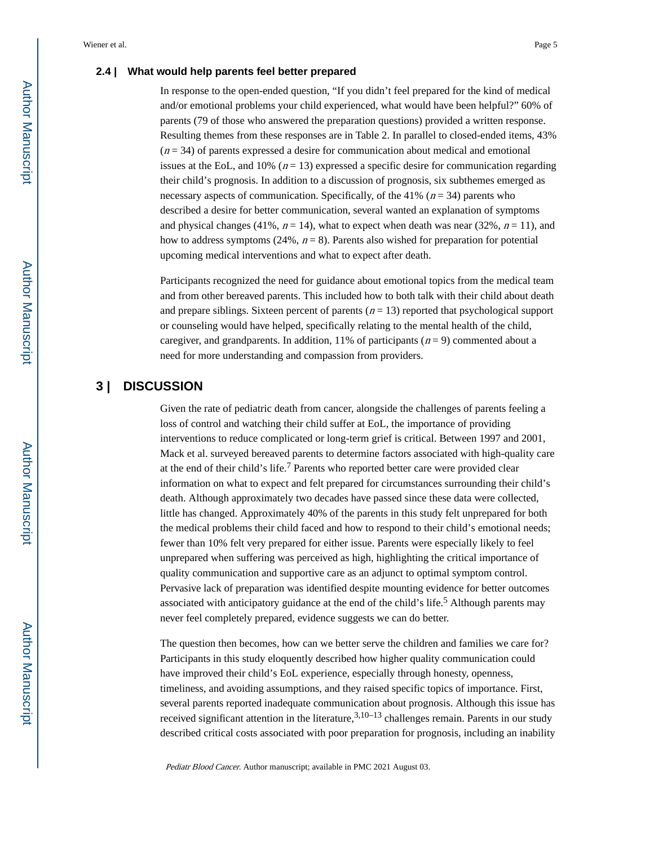#### **2.4 | What would help parents feel better prepared**

In response to the open-ended question, "If you didn't feel prepared for the kind of medical and/or emotional problems your child experienced, what would have been helpful?" 60% of parents (79 of those who answered the preparation questions) provided a written response. Resulting themes from these responses are in Table 2. In parallel to closed-ended items, 43%  $(n = 34)$  of parents expressed a desire for communication about medical and emotional issues at the EoL, and 10% ( $n = 13$ ) expressed a specific desire for communication regarding their child's prognosis. In addition to a discussion of prognosis, six subthemes emerged as necessary aspects of communication. Specifically, of the 41% ( $n = 34$ ) parents who described a desire for better communication, several wanted an explanation of symptoms and physical changes (41%,  $n = 14$ ), what to expect when death was near (32%,  $n = 11$ ), and how to address symptoms (24%,  $n = 8$ ). Parents also wished for preparation for potential upcoming medical interventions and what to expect after death.

Participants recognized the need for guidance about emotional topics from the medical team and from other bereaved parents. This included how to both talk with their child about death and prepare siblings. Sixteen percent of parents ( $n = 13$ ) reported that psychological support or counseling would have helped, specifically relating to the mental health of the child, caregiver, and grandparents. In addition, 11% of participants ( $n = 9$ ) commented about a need for more understanding and compassion from providers.

### **3 | DISCUSSION**

Given the rate of pediatric death from cancer, alongside the challenges of parents feeling a loss of control and watching their child suffer at EoL, the importance of providing interventions to reduce complicated or long-term grief is critical. Between 1997 and 2001, Mack et al. surveyed bereaved parents to determine factors associated with high-quality care at the end of their child's life.<sup>7</sup> Parents who reported better care were provided clear information on what to expect and felt prepared for circumstances surrounding their child's death. Although approximately two decades have passed since these data were collected, little has changed. Approximately 40% of the parents in this study felt unprepared for both the medical problems their child faced and how to respond to their child's emotional needs; fewer than 10% felt very prepared for either issue. Parents were especially likely to feel unprepared when suffering was perceived as high, highlighting the critical importance of quality communication and supportive care as an adjunct to optimal symptom control. Pervasive lack of preparation was identified despite mounting evidence for better outcomes associated with anticipatory guidance at the end of the child's life.<sup>5</sup> Although parents may never feel completely prepared, evidence suggests we can do better.

The question then becomes, how can we better serve the children and families we care for? Participants in this study eloquently described how higher quality communication could have improved their child's EoL experience, especially through honesty, openness, timeliness, and avoiding assumptions, and they raised specific topics of importance. First, several parents reported inadequate communication about prognosis. Although this issue has received significant attention in the literature,  $3,10-13$  challenges remain. Parents in our study described critical costs associated with poor preparation for prognosis, including an inability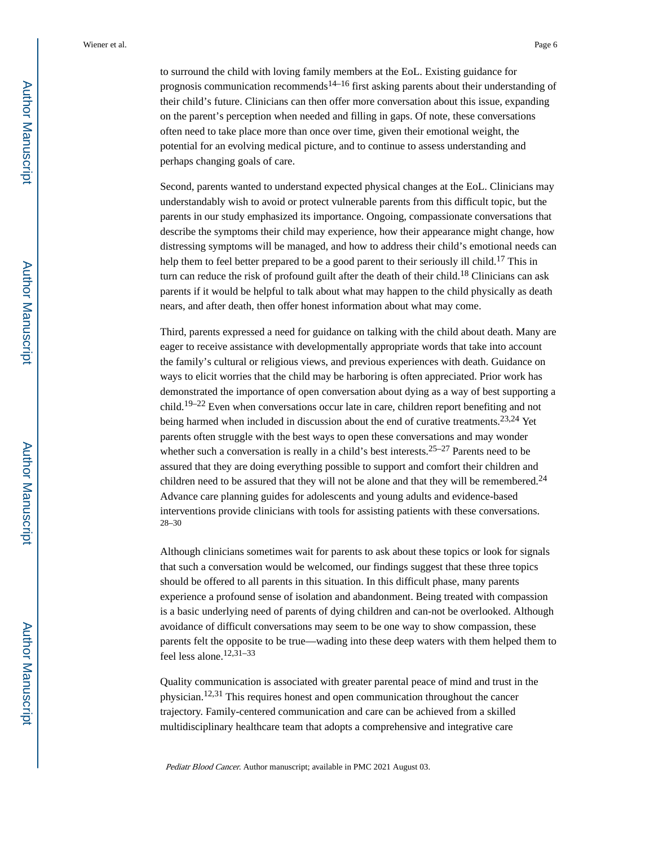to surround the child with loving family members at the EoL. Existing guidance for prognosis communication recommends<sup>14–16</sup> first asking parents about their understanding of their child's future. Clinicians can then offer more conversation about this issue, expanding on the parent's perception when needed and filling in gaps. Of note, these conversations often need to take place more than once over time, given their emotional weight, the potential for an evolving medical picture, and to continue to assess understanding and perhaps changing goals of care.

Second, parents wanted to understand expected physical changes at the EoL. Clinicians may understandably wish to avoid or protect vulnerable parents from this difficult topic, but the parents in our study emphasized its importance. Ongoing, compassionate conversations that describe the symptoms their child may experience, how their appearance might change, how distressing symptoms will be managed, and how to address their child's emotional needs can help them to feel better prepared to be a good parent to their seriously ill child.<sup>17</sup> This in turn can reduce the risk of profound guilt after the death of their child.<sup>18</sup> Clinicians can ask parents if it would be helpful to talk about what may happen to the child physically as death nears, and after death, then offer honest information about what may come.

Third, parents expressed a need for guidance on talking with the child about death. Many are eager to receive assistance with developmentally appropriate words that take into account the family's cultural or religious views, and previous experiences with death. Guidance on ways to elicit worries that the child may be harboring is often appreciated. Prior work has demonstrated the importance of open conversation about dying as a way of best supporting a child.<sup>19–22</sup> Even when conversations occur late in care, children report benefiting and not being harmed when included in discussion about the end of curative treatments.<sup>23,24</sup> Yet parents often struggle with the best ways to open these conversations and may wonder whether such a conversation is really in a child's best interests.<sup>25–27</sup> Parents need to be assured that they are doing everything possible to support and comfort their children and children need to be assured that they will not be alone and that they will be remembered.<sup>24</sup> Advance care planning guides for adolescents and young adults and evidence-based interventions provide clinicians with tools for assisting patients with these conversations. 28–30

Although clinicians sometimes wait for parents to ask about these topics or look for signals that such a conversation would be welcomed, our findings suggest that these three topics should be offered to all parents in this situation. In this difficult phase, many parents experience a profound sense of isolation and abandonment. Being treated with compassion is a basic underlying need of parents of dying children and can-not be overlooked. Although avoidance of difficult conversations may seem to be one way to show compassion, these parents felt the opposite to be true—wading into these deep waters with them helped them to feel less alone.12,31–33

Quality communication is associated with greater parental peace of mind and trust in the physician.12,31 This requires honest and open communication throughout the cancer trajectory. Family-centered communication and care can be achieved from a skilled multidisciplinary healthcare team that adopts a comprehensive and integrative care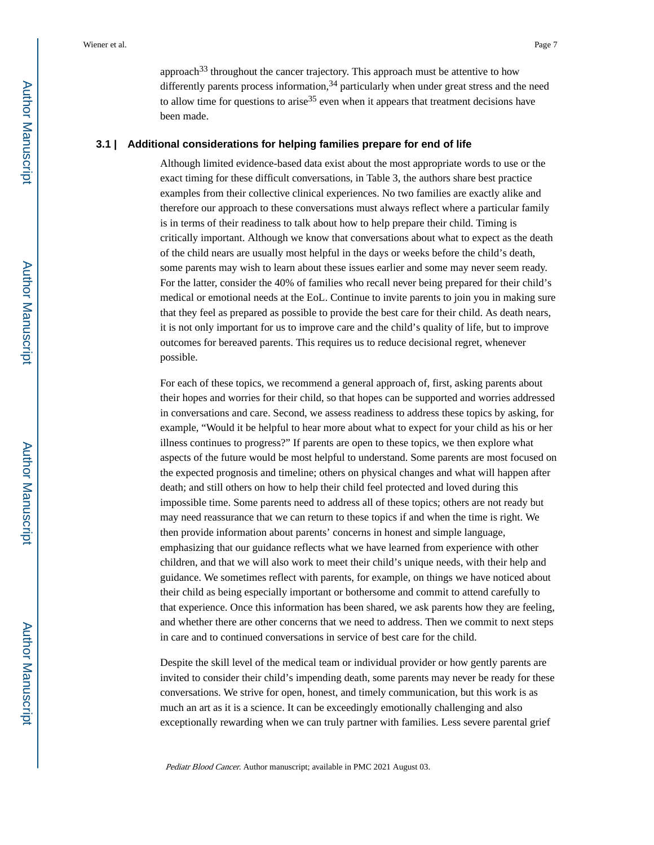approach<sup>33</sup> throughout the cancer trajectory. This approach must be attentive to how differently parents process information,  $34$  particularly when under great stress and the need to allow time for questions to arise<sup>35</sup> even when it appears that treatment decisions have been made.

#### **3.1 | Additional considerations for helping families prepare for end of life**

Although limited evidence-based data exist about the most appropriate words to use or the exact timing for these difficult conversations, in Table 3, the authors share best practice examples from their collective clinical experiences. No two families are exactly alike and therefore our approach to these conversations must always reflect where a particular family is in terms of their readiness to talk about how to help prepare their child. Timing is critically important. Although we know that conversations about what to expect as the death of the child nears are usually most helpful in the days or weeks before the child's death, some parents may wish to learn about these issues earlier and some may never seem ready. For the latter, consider the 40% of families who recall never being prepared for their child's medical or emotional needs at the EoL. Continue to invite parents to join you in making sure that they feel as prepared as possible to provide the best care for their child. As death nears, it is not only important for us to improve care and the child's quality of life, but to improve outcomes for bereaved parents. This requires us to reduce decisional regret, whenever possible.

For each of these topics, we recommend a general approach of, first, asking parents about their hopes and worries for their child, so that hopes can be supported and worries addressed in conversations and care. Second, we assess readiness to address these topics by asking, for example, "Would it be helpful to hear more about what to expect for your child as his or her illness continues to progress?" If parents are open to these topics, we then explore what aspects of the future would be most helpful to understand. Some parents are most focused on the expected prognosis and timeline; others on physical changes and what will happen after death; and still others on how to help their child feel protected and loved during this impossible time. Some parents need to address all of these topics; others are not ready but may need reassurance that we can return to these topics if and when the time is right. We then provide information about parents' concerns in honest and simple language, emphasizing that our guidance reflects what we have learned from experience with other children, and that we will also work to meet their child's unique needs, with their help and guidance. We sometimes reflect with parents, for example, on things we have noticed about their child as being especially important or bothersome and commit to attend carefully to that experience. Once this information has been shared, we ask parents how they are feeling, and whether there are other concerns that we need to address. Then we commit to next steps in care and to continued conversations in service of best care for the child.

Despite the skill level of the medical team or individual provider or how gently parents are invited to consider their child's impending death, some parents may never be ready for these conversations. We strive for open, honest, and timely communication, but this work is as much an art as it is a science. It can be exceedingly emotionally challenging and also exceptionally rewarding when we can truly partner with families. Less severe parental grief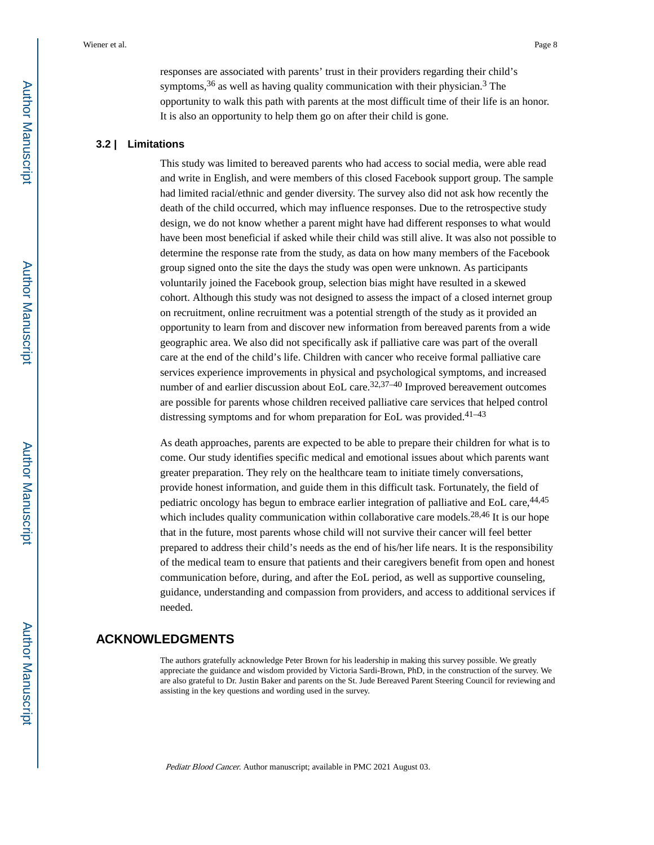responses are associated with parents' trust in their providers regarding their child's symptoms,  $36$  as well as having quality communication with their physician.  $3$  The opportunity to walk this path with parents at the most difficult time of their life is an honor. It is also an opportunity to help them go on after their child is gone.

#### **3.2 | Limitations**

This study was limited to bereaved parents who had access to social media, were able read and write in English, and were members of this closed Facebook support group. The sample had limited racial/ethnic and gender diversity. The survey also did not ask how recently the death of the child occurred, which may influence responses. Due to the retrospective study design, we do not know whether a parent might have had different responses to what would have been most beneficial if asked while their child was still alive. It was also not possible to determine the response rate from the study, as data on how many members of the Facebook group signed onto the site the days the study was open were unknown. As participants voluntarily joined the Facebook group, selection bias might have resulted in a skewed cohort. Although this study was not designed to assess the impact of a closed internet group on recruitment, online recruitment was a potential strength of the study as it provided an opportunity to learn from and discover new information from bereaved parents from a wide geographic area. We also did not specifically ask if palliative care was part of the overall care at the end of the child's life. Children with cancer who receive formal palliative care services experience improvements in physical and psychological symptoms, and increased number of and earlier discussion about EoL care.<sup>32,37–40</sup> Improved bereavement outcomes are possible for parents whose children received palliative care services that helped control distressing symptoms and for whom preparation for EoL was provided.<sup>41-43</sup>

As death approaches, parents are expected to be able to prepare their children for what is to come. Our study identifies specific medical and emotional issues about which parents want greater preparation. They rely on the healthcare team to initiate timely conversations, provide honest information, and guide them in this difficult task. Fortunately, the field of pediatric oncology has begun to embrace earlier integration of palliative and EoL care, <sup>44,45</sup> which includes quality communication within collaborative care models.<sup>28,46</sup> It is our hope that in the future, most parents whose child will not survive their cancer will feel better prepared to address their child's needs as the end of his/her life nears. It is the responsibility of the medical team to ensure that patients and their caregivers benefit from open and honest communication before, during, and after the EoL period, as well as supportive counseling, guidance, understanding and compassion from providers, and access to additional services if needed.

#### **ACKNOWLEDGMENTS**

The authors gratefully acknowledge Peter Brown for his leadership in making this survey possible. We greatly appreciate the guidance and wisdom provided by Victoria Sardi-Brown, PhD, in the construction of the survey. We are also grateful to Dr. Justin Baker and parents on the St. Jude Bereaved Parent Steering Council for reviewing and assisting in the key questions and wording used in the survey.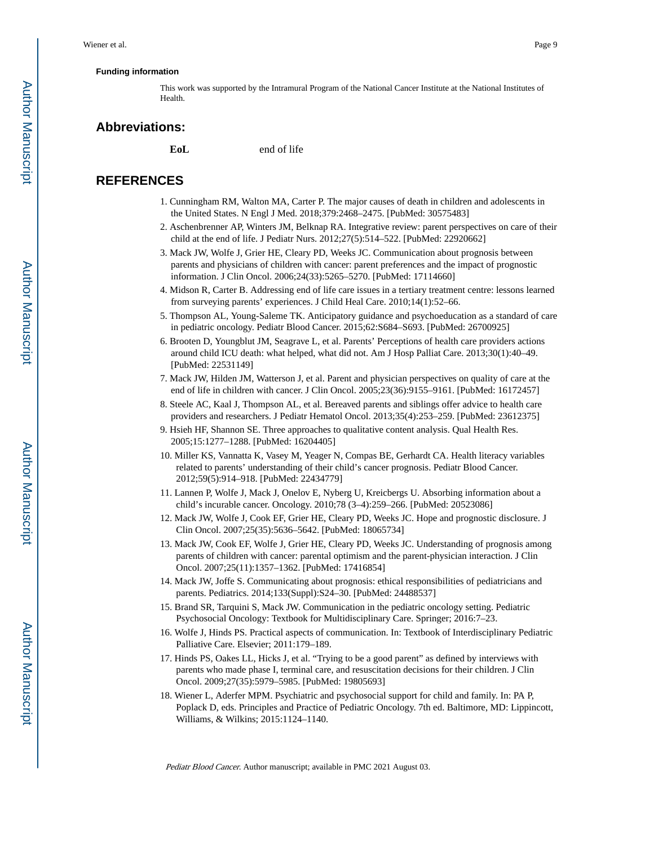#### **Funding information**

This work was supported by the Intramural Program of the National Cancer Institute at the National Institutes of Health.

#### **Abbreviations:**

**EoL** end of life

#### **REFERENCES**

- 1. Cunningham RM, Walton MA, Carter P. The major causes of death in children and adolescents in the United States. N Engl J Med. 2018;379:2468–2475. [PubMed: 30575483]
- 2. Aschenbrenner AP, Winters JM, Belknap RA. Integrative review: parent perspectives on care of their child at the end of life. J Pediatr Nurs. 2012;27(5):514–522. [PubMed: 22920662]
- 3. Mack JW, Wolfe J, Grier HE, Cleary PD, Weeks JC. Communication about prognosis between parents and physicians of children with cancer: parent preferences and the impact of prognostic information. J Clin Oncol. 2006;24(33):5265–5270. [PubMed: 17114660]
- 4. Midson R, Carter B. Addressing end of life care issues in a tertiary treatment centre: lessons learned from surveying parents' experiences. J Child Heal Care. 2010;14(1):52–66.
- 5. Thompson AL, Young-Saleme TK. Anticipatory guidance and psychoeducation as a standard of care in pediatric oncology. Pediatr Blood Cancer. 2015;62:S684–S693. [PubMed: 26700925]
- 6. Brooten D, Youngblut JM, Seagrave L, et al. Parents' Perceptions of health care providers actions around child ICU death: what helped, what did not. Am J Hosp Palliat Care. 2013;30(1):40–49. [PubMed: 22531149]
- 7. Mack JW, Hilden JM, Watterson J, et al. Parent and physician perspectives on quality of care at the end of life in children with cancer. J Clin Oncol. 2005;23(36):9155–9161. [PubMed: 16172457]
- 8. Steele AC, Kaal J, Thompson AL, et al. Bereaved parents and siblings offer advice to health care providers and researchers. J Pediatr Hematol Oncol. 2013;35(4):253–259. [PubMed: 23612375]
- 9. Hsieh HF, Shannon SE. Three approaches to qualitative content analysis. Qual Health Res. 2005;15:1277–1288. [PubMed: 16204405]
- 10. Miller KS, Vannatta K, Vasey M, Yeager N, Compas BE, Gerhardt CA. Health literacy variables related to parents' understanding of their child's cancer prognosis. Pediatr Blood Cancer. 2012;59(5):914–918. [PubMed: 22434779]
- 11. Lannen P, Wolfe J, Mack J, Onelov E, Nyberg U, Kreicbergs U. Absorbing information about a child's incurable cancer. Oncology. 2010;78 (3–4):259–266. [PubMed: 20523086]
- 12. Mack JW, Wolfe J, Cook EF, Grier HE, Cleary PD, Weeks JC. Hope and prognostic disclosure. J Clin Oncol. 2007;25(35):5636–5642. [PubMed: 18065734]
- 13. Mack JW, Cook EF, Wolfe J, Grier HE, Cleary PD, Weeks JC. Understanding of prognosis among parents of children with cancer: parental optimism and the parent-physician interaction. J Clin Oncol. 2007;25(11):1357–1362. [PubMed: 17416854]
- 14. Mack JW, Joffe S. Communicating about prognosis: ethical responsibilities of pediatricians and parents. Pediatrics. 2014;133(Suppl):S24–30. [PubMed: 24488537]
- 15. Brand SR, Tarquini S, Mack JW. Communication in the pediatric oncology setting. Pediatric Psychosocial Oncology: Textbook for Multidisciplinary Care. Springer; 2016:7–23.
- 16. Wolfe J, Hinds PS. Practical aspects of communication. In: Textbook of Interdisciplinary Pediatric Palliative Care. Elsevier; 2011:179–189.
- 17. Hinds PS, Oakes LL, Hicks J, et al. "Trying to be a good parent" as defined by interviews with parents who made phase I, terminal care, and resuscitation decisions for their children. J Clin Oncol. 2009;27(35):5979–5985. [PubMed: 19805693]
- 18. Wiener L, Aderfer MPM. Psychiatric and psychosocial support for child and family. In: PA P, Poplack D, eds. Principles and Practice of Pediatric Oncology. 7th ed. Baltimore, MD: Lippincott, Williams, & Wilkins; 2015:1124–1140.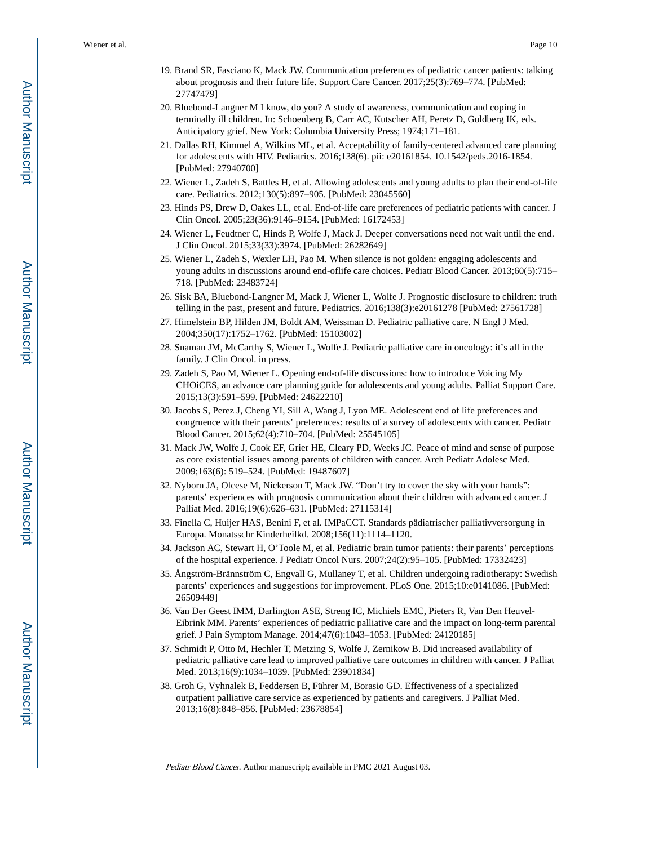- 19. Brand SR, Fasciano K, Mack JW. Communication preferences of pediatric cancer patients: talking about prognosis and their future life. Support Care Cancer. 2017;25(3):769–774. [PubMed: 27747479]
- 20. Bluebond-Langner M I know, do you? A study of awareness, communication and coping in terminally ill children. In: Schoenberg B, Carr AC, Kutscher AH, Peretz D, Goldberg IK, eds. Anticipatory grief. New York: Columbia University Press; 1974;171–181.
- 21. Dallas RH, Kimmel A, Wilkins ML, et al. Acceptability of family-centered advanced care planning for adolescents with HIV. Pediatrics. 2016;138(6). pii: e20161854. 10.1542/peds.2016-1854. [PubMed: 27940700]
- 22. Wiener L, Zadeh S, Battles H, et al. Allowing adolescents and young adults to plan their end-of-life care. Pediatrics. 2012;130(5):897–905. [PubMed: 23045560]
- 23. Hinds PS, Drew D, Oakes LL, et al. End-of-life care preferences of pediatric patients with cancer. J Clin Oncol. 2005;23(36):9146–9154. [PubMed: 16172453]
- 24. Wiener L, Feudtner C, Hinds P, Wolfe J, Mack J. Deeper conversations need not wait until the end. J Clin Oncol. 2015;33(33):3974. [PubMed: 26282649]
- 25. Wiener L, Zadeh S, Wexler LH, Pao M. When silence is not golden: engaging adolescents and young adults in discussions around end-oflife care choices. Pediatr Blood Cancer. 2013;60(5):715– 718. [PubMed: 23483724]
- 26. Sisk BA, Bluebond-Langner M, Mack J, Wiener L, Wolfe J. Prognostic disclosure to children: truth telling in the past, present and future. Pediatrics. 2016;138(3):e20161278 [PubMed: 27561728]
- 27. Himelstein BP, Hilden JM, Boldt AM, Weissman D. Pediatric palliative care. N Engl J Med. 2004;350(17):1752–1762. [PubMed: 15103002]
- 28. Snaman JM, McCarthy S, Wiener L, Wolfe J. Pediatric palliative care in oncology: it's all in the family. J Clin Oncol. in press.
- 29. Zadeh S, Pao M, Wiener L. Opening end-of-life discussions: how to introduce Voicing My CHOiCES, an advance care planning guide for adolescents and young adults. Palliat Support Care. 2015;13(3):591–599. [PubMed: 24622210]
- 30. Jacobs S, Perez J, Cheng YI, Sill A, Wang J, Lyon ME. Adolescent end of life preferences and congruence with their parents' preferences: results of a survey of adolescents with cancer. Pediatr Blood Cancer. 2015;62(4):710–704. [PubMed: 25545105]
- 31. Mack JW, Wolfe J, Cook EF, Grier HE, Cleary PD, Weeks JC. Peace of mind and sense of purpose as core existential issues among parents of children with cancer. Arch Pediatr Adolesc Med. 2009;163(6): 519–524. [PubMed: 19487607]
- 32. Nyborn JA, Olcese M, Nickerson T, Mack JW. "Don't try to cover the sky with your hands": parents' experiences with prognosis communication about their children with advanced cancer. J Palliat Med. 2016;19(6):626–631. [PubMed: 27115314]
- 33. Finella C, Huijer HAS, Benini F, et al. IMPaCCT. Standards pädiatrischer palliativversorgung in Europa. Monatsschr Kinderheilkd. 2008;156(11):1114–1120.
- 34. Jackson AC, Stewart H, O'Toole M, et al. Pediatric brain tumor patients: their parents' perceptions of the hospital experience. J Pediatr Oncol Nurs. 2007;24(2):95–105. [PubMed: 17332423]
- 35. Ångström-Brännström C, Engvall G, Mullaney T, et al. Children undergoing radiotherapy: Swedish parents' experiences and suggestions for improvement. PLoS One. 2015;10:e0141086. [PubMed: 26509449]
- 36. Van Der Geest IMM, Darlington ASE, Streng IC, Michiels EMC, Pieters R, Van Den Heuvel-Eibrink MM. Parents' experiences of pediatric palliative care and the impact on long-term parental grief. J Pain Symptom Manage. 2014;47(6):1043–1053. [PubMed: 24120185]
- 37. Schmidt P, Otto M, Hechler T, Metzing S, Wolfe J, Zernikow B. Did increased availability of pediatric palliative care lead to improved palliative care outcomes in children with cancer. J Palliat Med. 2013;16(9):1034–1039. [PubMed: 23901834]
- 38. Groh G, Vyhnalek B, Feddersen B, Führer M, Borasio GD. Effectiveness of a specialized outpatient palliative care service as experienced by patients and caregivers. J Palliat Med. 2013;16(8):848–856. [PubMed: 23678854]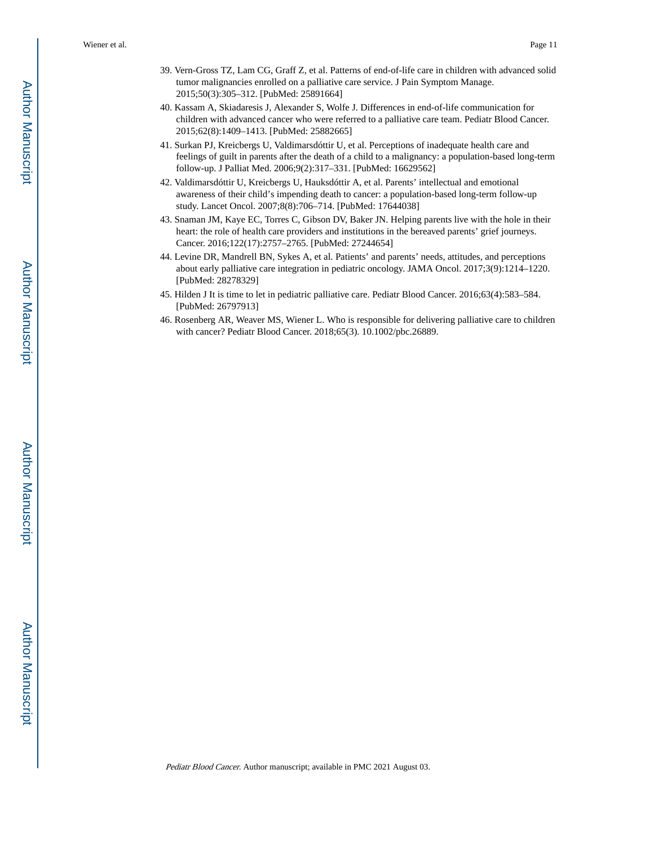- 39. Vern-Gross TZ, Lam CG, Graff Z, et al. Patterns of end-of-life care in children with advanced solid tumor malignancies enrolled on a palliative care service. J Pain Symptom Manage. 2015;50(3):305–312. [PubMed: 25891664]
- 40. Kassam A, Skiadaresis J, Alexander S, Wolfe J. Differences in end-of-life communication for children with advanced cancer who were referred to a palliative care team. Pediatr Blood Cancer. 2015;62(8):1409–1413. [PubMed: 25882665]
- 41. Surkan PJ, Kreicbergs U, Valdimarsdóttir U, et al. Perceptions of inadequate health care and feelings of guilt in parents after the death of a child to a malignancy: a population-based long-term follow-up. J Palliat Med. 2006;9(2):317–331. [PubMed: 16629562]
- 42. Valdimarsdóttir U, Kreicbergs U, Hauksdóttir A, et al. Parents' intellectual and emotional awareness of their child's impending death to cancer: a population-based long-term follow-up study. Lancet Oncol. 2007;8(8):706–714. [PubMed: 17644038]
- 43. Snaman JM, Kaye EC, Torres C, Gibson DV, Baker JN. Helping parents live with the hole in their heart: the role of health care providers and institutions in the bereaved parents' grief journeys. Cancer. 2016;122(17):2757–2765. [PubMed: 27244654]
- 44. Levine DR, Mandrell BN, Sykes A, et al. Patients' and parents' needs, attitudes, and perceptions about early palliative care integration in pediatric oncology. JAMA Oncol. 2017;3(9):1214–1220. [PubMed: 28278329]
- 45. Hilden J It is time to let in pediatric palliative care. Pediatr Blood Cancer. 2016;63(4):583–584. [PubMed: 26797913]
- 46. Rosenberg AR, Weaver MS, Wiener L. Who is responsible for delivering palliative care to children with cancer? Pediatr Blood Cancer. 2018;65(3). 10.1002/pbc.26889.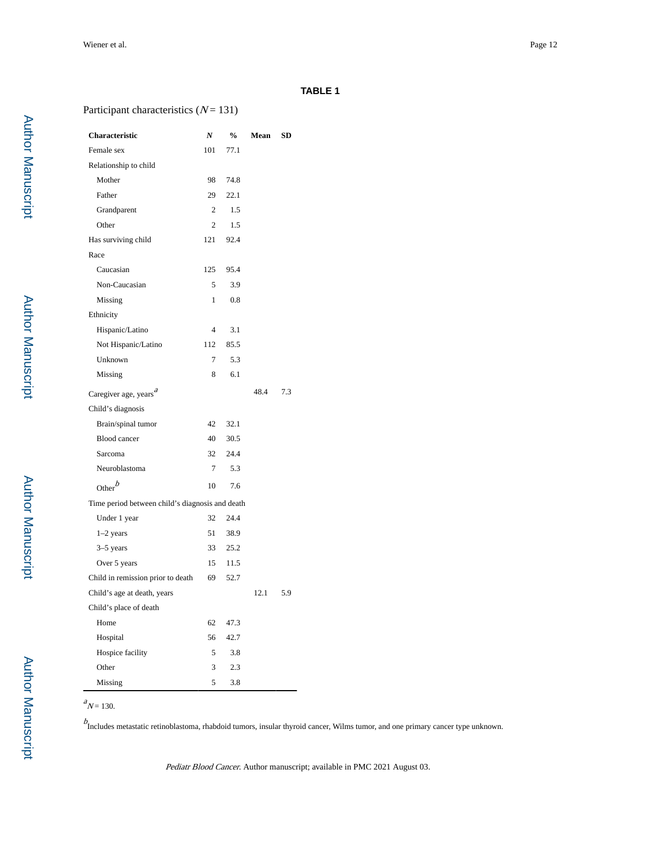#### **TABLE 1**

#### Participant characteristics  $(N = 131)$

| Characteristic                                  | N              | $\frac{0}{0}$ | Mean | <b>SD</b> |
|-------------------------------------------------|----------------|---------------|------|-----------|
| Female sex                                      | 101            | 77.1          |      |           |
| Relationship to child                           |                |               |      |           |
| Mother                                          | 98             | 74.8          |      |           |
| Father                                          | 29             | 22.1          |      |           |
| Grandparent                                     | $\mathfrak{D}$ | 1.5           |      |           |
| Other                                           | 2              | 1.5           |      |           |
| Has surviving child                             | 121            | 92.4          |      |           |
| Race                                            |                |               |      |           |
| Caucasian                                       | 125            | 95.4          |      |           |
| Non-Caucasian                                   | 5              | 3.9           |      |           |
| Missing                                         | 1              | 0.8           |      |           |
| Ethnicity                                       |                |               |      |           |
| Hispanic/Latino                                 | $\overline{4}$ | 3.1           |      |           |
| Not Hispanic/Latino                             | 112            | 85.5          |      |           |
| Unknown                                         | 7              | 5.3           |      |           |
| Missing                                         | 8              | 6.1           |      |           |
| Caregiver age, years <sup>a</sup>               |                |               | 48.4 | 7.3       |
| Child's diagnosis                               |                |               |      |           |
| Brain/spinal tumor                              | 42             | 32.1          |      |           |
| <b>Blood</b> cancer                             | 40             | 30.5          |      |           |
| Sarcoma                                         | 32             | 24.4          |      |           |
| Neuroblastoma                                   | $\tau$         | 5.3           |      |           |
| Other $\boldsymbol{b}$                          | 10             | 7.6           |      |           |
| Time period between child's diagnosis and death |                |               |      |           |
| Under 1 year                                    | 32             | 24.4          |      |           |
| $1-2$ years                                     | 51             | 38.9          |      |           |
| $3-5$ years                                     | 33             | 25.2          |      |           |
| Over 5 years                                    | 15             | 11.5          |      |           |
| Child in remission prior to death               | 69             | 52.7          |      |           |
| Child's age at death, years                     |                |               | 12.1 | 5.9       |
| Child's place of death                          |                |               |      |           |
| Home                                            | 62             | 47.3          |      |           |
| Hospital                                        | 56             | 42.7          |      |           |
| Hospice facility                                | 5              | 3.8           |      |           |
| Other                                           | 3              | 2.3           |      |           |
| Missing                                         | 5              | 3.8           |      |           |

 $N = 130$ .

b<br>Includes metastatic retinoblastoma, rhabdoid tumors, insular thyroid cancer, Wilms tumor, and one primary cancer type unknown.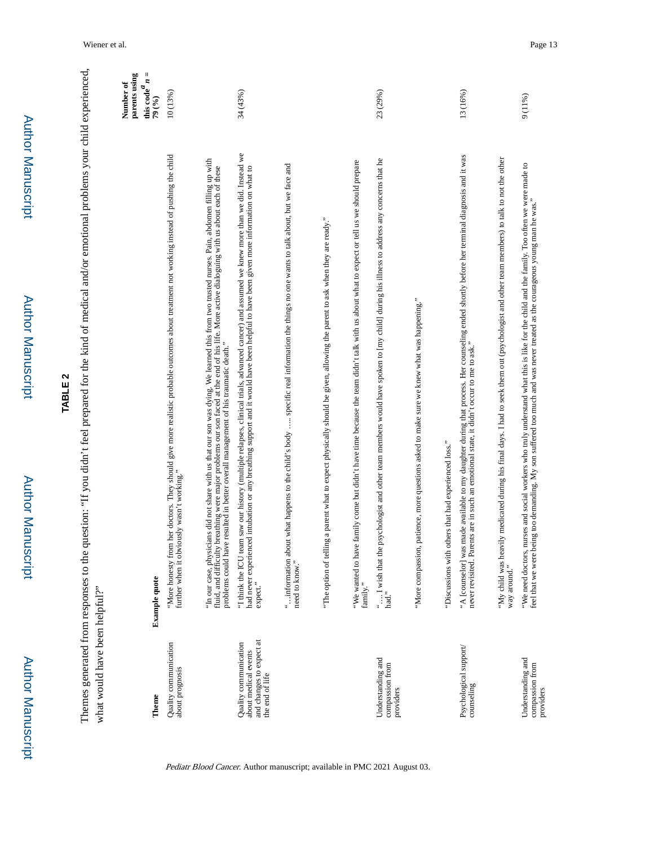|                                                                                              | N<br><b>TABLE</b>                                                                                                                                                                                                                                                                                                      |   |
|----------------------------------------------------------------------------------------------|------------------------------------------------------------------------------------------------------------------------------------------------------------------------------------------------------------------------------------------------------------------------------------------------------------------------|---|
|                                                                                              | Themes generated from responses to the question: "If you didn't feel prepared for the kind of medical and/or emotional problems your child experienced,                                                                                                                                                                |   |
| what would have been helpful?"                                                               |                                                                                                                                                                                                                                                                                                                        |   |
|                                                                                              | parents using<br>Number of                                                                                                                                                                                                                                                                                             |   |
| Theme                                                                                        | this code $n$<br>79 (%)<br><b>Example quote</b>                                                                                                                                                                                                                                                                        | Ш |
| Quality communication<br>about prognosis                                                     | 10 (13%)<br>"More honesty from her doctors. They should give more realistic probable outcomes about treatment not working instead of pushing the child<br>further when it obviously wasn't working."                                                                                                                   |   |
|                                                                                              | "In our case, physicians did not share with us that our son was dying. We learned this from two trusted nurses. Pain, abdomen filling up with<br>fluid, and difficulty breathing were major problems our son faced at the end of<br>problems could have resulted in better overall management of his traumatic death." |   |
| and changes to expect at<br>Quality communication<br>about medical events<br>the end of life | 34 (43%)<br>"I think the ICU team saw our history (multiple relapses, clinical trials, advanced cancer) and assumed we knew more than we did. Instead we<br>had never experienced intubation or any breathing support and it would have been helpful to have been given more information on what to<br>expect."        |   |
|                                                                                              | " information about what happens to the child's body  specific real information the things no one wants to talk about, but we face and<br>need to know."                                                                                                                                                               |   |
|                                                                                              | ag a parent what to expect physically should be given, allowing the parent to ask when they are ready."<br>"The option of tellin                                                                                                                                                                                       |   |
|                                                                                              | "We wanted to have family come but didn't have time because the team didn't talk with us about what to expect or tell us we should prepare<br>family."                                                                                                                                                                 |   |
| Understanding and<br>compassion from<br>providers                                            | 23 (29%)<br>psychologist and other team members would have spoken to [my child] during his illness to address any concerns that he<br>" I wish that the<br>had."                                                                                                                                                       |   |
|                                                                                              | patience, more questions asked to make sure we knew what was happening."<br>"More compassion,                                                                                                                                                                                                                          |   |
|                                                                                              | "Discussions with others that had experienced loss."                                                                                                                                                                                                                                                                   |   |
| Psychological support/<br>counseling                                                         | 13 (16%)<br>"A [counselor] was made available to my daughter during that process. Her counseling ended shortly before her terminal diagnosis and it was<br>never revisited. Parents are in such an emotional state, it didn't occur to me to                                                                           |   |
|                                                                                              | "My child was heavily medicated during his final days. I had to seek them out (psychologist and other team members) to talk to not the other<br>way around."                                                                                                                                                           |   |

Pediatr Blood Cancer. Author manuscript; available in PMC 2021 August 03.

9 (11%)

Understanding and compassion from Understanding and<br>compassion from<br>providers

"We need doctors, nurses and social workers who truly understand what this is like for the child and the family. Too often we were made to feel that we were being too demanding. My son suffered too much and was never treated as the courageous young man he was."

"We need doctons, nurses and social workers who truly understand what this is like for the child and the family. Too often we were made to<br>feel that we were being too demanding. My son suffered too much and was never treat

Author Manuscript

Author Manuscript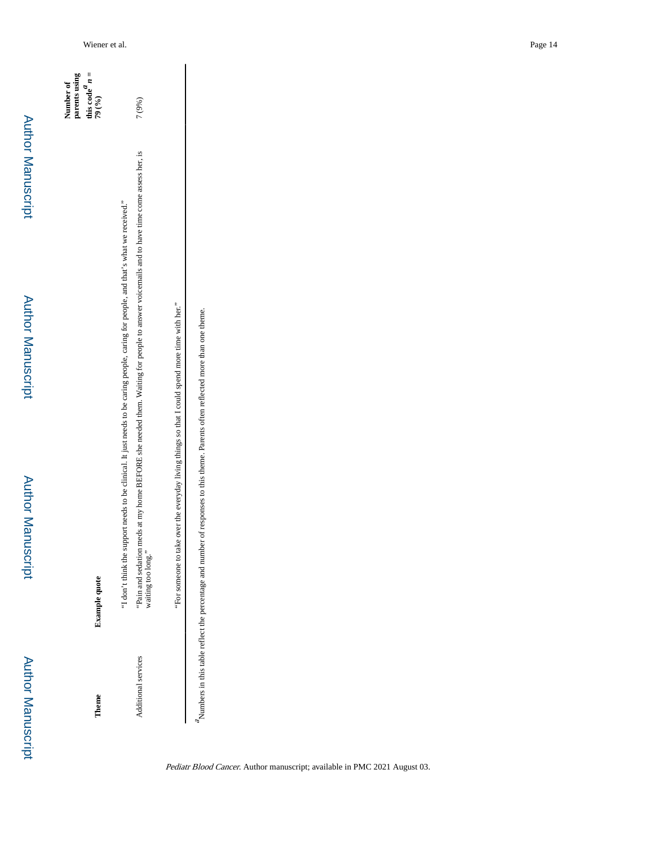| heme                       | <b>Example quote</b>                                                                                                                                                                                                                                                                                   | this code $n =$<br>parents using<br>Number of<br>79 (%) |
|----------------------------|--------------------------------------------------------------------------------------------------------------------------------------------------------------------------------------------------------------------------------------------------------------------------------------------------------|---------------------------------------------------------|
| <b>Additional services</b> | meds at my home BEFORE she needed them. Waiting for people to answer voicemails and to have time come assess her, is<br>I don't think the support needs to be clinical. It just needs to be caring people, caring for people, and that's what we received."<br>Pain and sedation<br>waiting too long." | 7 (9%)                                                  |

"For someone to take over the everyday living things so that I could spend more time with her." "For someone to take over the everyday living things so that I could spend more time with her."

A umbers in this table reflect the percentage and number of responses to this theme. Parents often reflected more than one theme. Numbers in this table reflect the percentage and number of responses to this theme. Parents often reflected more than one theme.